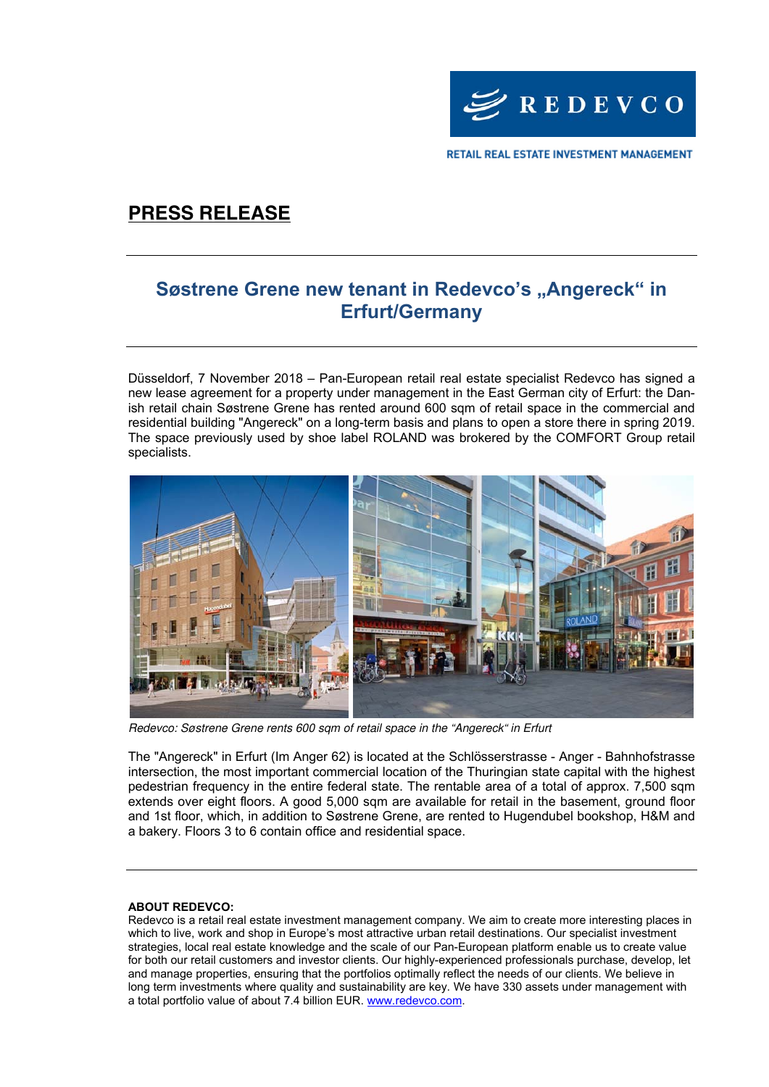

RETAIL REAL ESTATE INVESTMENT MANAGEMENT

# **PRESS RELEASE**

### **Søstrene Grene new tenant in Redevco's "Angereck" in Erfurt/Germany**

Düsseldorf, 7 November 2018 – Pan-European retail real estate specialist Redevco has signed a new lease agreement for a property under management in the East German city of Erfurt: the Danish retail chain Søstrene Grene has rented around 600 sqm of retail space in the commercial and residential building "Angereck" on a long-term basis and plans to open a store there in spring 2019. The space previously used by shoe label ROLAND was brokered by the COMFORT Group retail specialists.



Redevco: Søstrene Grene rents 600 sqm of retail space in the "Angereck" in Erfurt

The "Angereck" in Erfurt (Im Anger 62) is located at the Schlösserstrasse - Anger - Bahnhofstrasse intersection, the most important commercial location of the Thuringian state capital with the highest pedestrian frequency in the entire federal state. The rentable area of a total of approx. 7,500 sqm extends over eight floors. A good 5,000 sqm are available for retail in the basement, ground floor and 1st floor, which, in addition to Søstrene Grene, are rented to Hugendubel bookshop, H&M and a bakery. Floors 3 to 6 contain office and residential space.

#### **ABOUT REDEVCO:**

Redevco is a retail real estate investment management company. We aim to create more interesting places in which to live, work and shop in Europe's most attractive urban retail destinations. Our specialist investment strategies, local real estate knowledge and the scale of our Pan-European platform enable us to create value for both our retail customers and investor clients. Our highly-experienced professionals purchase, develop, let and manage properties, ensuring that the portfolios optimally reflect the needs of our clients. We believe in long term investments where quality and sustainability are key. We have 330 assets under management with a total portfolio value of about 7.4 billion EUR. www.redevco.com.